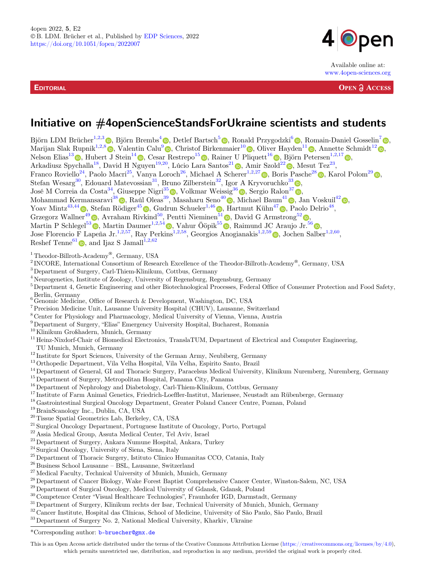**EDITORIAL** 



Available online at: www.4open-sciences.org

**OPEN ACCESS** 

# Initiative on #4openScienceStandsForUkraine scientists and students

Björn LDM Brücher<sup>1,2,[3](https://orcid.org/0000-0002-3930-6416)</sup>  $\circledcirc$ , Björn Brembs<sup>[4](https://orcid.org/0000-0001-7824-7650)</sup>  $\circledcirc$ , Detlef Bartsch<sup>[5](https://orcid.org/0000-0003-2961-915X)</sup>  $\circledcirc$ , Ronald Przygodzki<sup>[6](https://orcid.org/0000-0002-1238-262X)</sup>  $\circledcirc$ , Romain-Daniel Gosselin<sup>[7](https://orcid.org/0000-0003-1716-6210)</sup>  $\circledcirc$ , Marijan Slak Rupnik<sup>1,2,[8](https://orcid.org/0000-0002-3744-4882)</sup> , Valentin Calu<sup>[9](https://orcid.org/0000-0001-7710-9109)</sup> , Christof Birkenmaier<sup>1[0](https://orcid.org/0000-0003-1632-3616)</sup> , Oliver Hayden<sup>[1](https://orcid.org/0000-0002-2678-8663)1</sup> , Annette Schmidt<sup>1[2](https://orcid.org/0000-0002-2315-6417)</sup> , Nelson Elias<sup>1[3](https://orcid.org/0000-0002-8433-1477)</sup>  $\bullet$ , Hubert J Stein<sup>1[4](https://orcid.org/0000-0002-6765-862X)</sup>  $\bullet$ , Cesar Restrepo<sup>1[5](https://orcid.org/0000-0002-2006-8366)</sup>  $\bullet$ , Rainer U Pliquett<sup>1[6](https://orcid.org/0000-0001-9684-0618)</sup>  $\bullet$ , Björn Petersen<sup>1,2,1[7](https://orcid.org/0000-0002-1532-4863)</sup>  $\bullet$ , Arkadiusz Spychalla<sup>[1](https://orcid.org/0000-0002-0521-5655)8</sup>, David H Nguyen<sup>19,[2](https://orcid.org/0000-0002-2238-8670)0</sup>, Lúcio Lara Santos<sup>21</sup> , Amir Szold<sup>22</sup> , Mesut Tez<sup>23</sup>, Franco Roviello<sup>24</sup>, Paolo Macri<sup>25</sup>, Vanya Loroch<sup>26</sup>, Michael A Scherer<sup>1,2,2[7](https://orcid.org/0000-0003-3211-9180  )</sup> , Boris Pasche<sup>2[8](https://orcid.org/0000-0002-3750-7898)</sup> , Karol Polom<sup>2[9](https://orcid.org/0000-0003-2011-4155)</sup> , Stefan Wesarg<sup>[3](https://orcid.org/0000-0002-5525-701X)0</sup>, Edouard Matevossian<sup>31</sup>, Bruno Zilberstein<sup>32</sup>, Igor A Kryvoruchko<sup>33</sup>  $\bullet$ , José M Correia da Costa<sup>34</sup>, Giuseppe Nigri<sup>3[5](https://orcid.org/0000-0002-7656-7789)</sup>  $\bullet$ , Volkmar Weissig<sup>3[6](https://orcid.org/0000-0002-6466-2367)</sup>  $\bullet$ , Sergio Ralon<sup>3[7](https://orcid.org/0000-0002-5137-2889)</sup>  $\bullet$ , Mohammad Kermansaravi $^{38}$  $^{38}$  $^{38}$   $\circ$ , Raúl Oleas $^{39}$ , Masaharu Seno $^{40}$  $^{40}$  $^{40}$   $\circ$ , Michael Baum $^{41}$  $^{41}$  $^{41}$   $\circ$ , Jan Voskuil $^{42}$  $^{42}$  $^{42}$   $\circ$ , Yoav Mintz<sup>[4](https://orcid.org/0000-0002-5101-7449)3,44</sup>  $\circledcirc$ , Stefan Rödiger<sup>4[5](https://orcid.org/0000-0002-1441-6512)</sup>  $\circledcirc$ , Gudrun Schueler<sup>1,4[6](https://orcid.org/0000-0003-0293-5291)</sup>  $\circledcirc$ , Hartmut Kühn<sup>4[7](https://orcid.org/0000-0001-8142-3192)</sup>  $\circledcirc$ , Paolo Delrio<sup>48</sup>, Grzegorz Wallner<sup>4[9](https://orcid.org/0000-0002-0486-0484)</sup> (b), Avraham Rivkind<sup>[5](https://orcid.org/0000-0003-0293-5291)0</sup>, Pentti Nieminen<sup>5[1](https://orcid.org/0000-0003-0591-586X)</sup> (b), David G Armstrong<sup>5[2](https://orcid.org/0000-0003-1887-9175)</sup> (b), Martin P Schlegel<sup>5[3](https://orcid.org/0000-0001-7054-9566)</sup>  $\circledcirc$ , Martin Daumer<sup>1,2,5[4](https://orcid.org/0000-0001-9615-7632)</sup>  $\circledcirc$ , Vahur Ööpik<sup>[5](https://orcid.org/0000-0003-2668-4757)5</sup>  $\circledcirc$ , Raimund JC Araujo Jr.<sup>5[6](https://orcid.org/0000-0003-0172-0221)</sup>  $\circledcirc$ , Jose Florencio F Lapeña Jr.<sup>1,2,57</sup>, Ray Perkins<sup>1,2,58</sup>, Georgios Anogianakis<sup>1,2,5[9](https://orcid.org/0000-0002-9623-4500)</sup> (b, Jochen Salber<sup>1,2,60</sup>, Reshef Tenne<sup>6[1](https://orcid.org/0000-0003-4071-0325)</sup>  $\bullet$ , and Ijaz S Jamall<sup>1,2,62</sup>

- <sup>1</sup> Theodor-Billroth-Academy®, Germany, USA  $^2$  INCORE, International Consortium of Research Excellence of the Theodor-Billroth-Academy®, Germany, USA 3 Department of Surgery, Carl-Thiem-Klinikum, Cottbus, Germany
- 
- <sup>4</sup> Neurogenetics, Institute of Zoology, University of Regensburg, Regensburg, Germany
- <sup>5</sup> Department 4, Genetic Engineering and other Biotechnological Processes, Federal Office of Consumer Protection and Food Safety, Berlin, Germany<br>
<sup>6</sup> Genomic Medicine, Office of Research & Development, Washington, DC, USA<br>
<sup>7</sup> Precision Medicine Unit, Lausanne University Hospital (CHUV), Lausanne, Switzerland
- 
- 
- $^8$  Center for Physiology and Pharmacology, Medical University of Vienna, Vienna, Austria $^9$ Department of Surgery, "Elias" Emergency University Hospital, Bucharest, Romania
- 
- 
- <sup>10</sup> Klinikum Großhadern, Munich, Germany<br><sup>11</sup> Heinz-Nixdorf-Chair of Biomedical Electronics, TranslaTUM, Department of Electrical and Computer Engineering,
- 
- 
- 
- 
- 
- 
- 
- 
- 
- 
- 
- 
- 
- 
- 
- 
- TU Munich, Munich, Germany<br>
THo Kunich, Normich, Germany<br>
THo Kunich (Server Sciences, University of the German Army, Neubiberg, Germany<br>
<sup>13</sup> Dethopedic Department, Vila Velha Hospital, Vila Velha, Espirito Santezli<br>
<sup>14</sup>
- 
- 
- 
- 
- 

This is an Open Access article distributed under the terms of the Creative Commons Attribution License [\(https://creativecommons.org/licenses/by/4.0\)](https://creativecommons.org/licenses/by/4.0/), which permits unrestricted use, distribution, and reproduction in any medium, provided the original work is properly cited.

<sup>\*</sup>Corresponding author: b-bruecher@gmx.de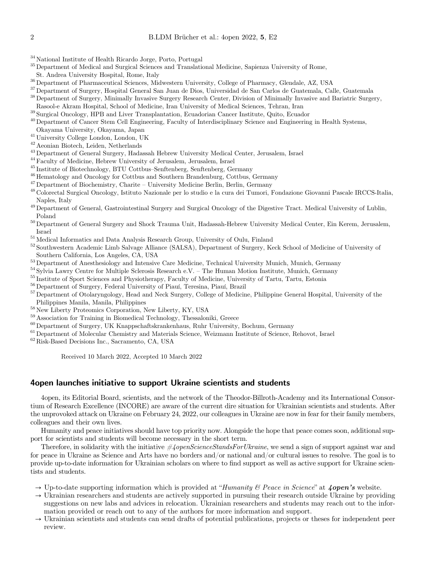- 
- $^\mathrm{34}$  National Institute of Health Ricardo Jorge, Porto, Portugal  $^\mathrm{35}$  Department of Medical and Surgical Sciences and Translational Medicine, Sapienza University of Rome, St. Andrea University Hospital, Rome, Ital
- 
- 
- 
- <sup>36</sup> Department of Pharmaceutical Sciences, Midwestern University, College of Pharmacy, Glendale, AZ, USA<br><sup>37</sup> Department of Surgery, Hospital General San Juan de Dios, Universidad de San Carlos de Guatemala, Calle, Guatem
- 
- <sup>39</sup> Surgical Oncology, HPB and Liver Transplantation, Ecuadorian Cancer Institute, Quito, Ecuador<br><sup>40</sup> Department of Cancer Stem Cell Engineering, Faculty of Interdisciplinary Science and Engineering in Health Systems,<br>Ok
- 
- 
- 
- 
- 
- 
- 
- <sup>41</sup> University College London, London, UK<br>
<sup>42</sup> Aeonian Biotech, Leiden, Netherlands<br>
<sup>43</sup> Department of General Surgery, Hadassah Hebrew University Medical Center, Jerusalem, Israel<br>
<sup>44</sup> Faculty of Medicine, Hebrew Uni Naples, Italy 19 Department of General, Gastrointestinal Surgery and Surgical Oncology of the Digestive Tract. Medical University of Lublin,
- Poland <sup>50</sup> Department of General Surgery and Shock Trauma Unit, Hadassah-Hebrew University Medical Center, Ein Kerem, Jerusalem,
- 
- 
- Israel  $$^{51}$  Medical Informatics and Data Analysis Research Group, University of Oulu, Finland  $$^{52}$  Southwestern Academic Limb Salvage Alliance (SALSA), Department of Surgery, Keck School of Medicine of University of
- 
- 
- 
- 
- $^{53}$ Department of Anesthesiology and Intensive Care Medicine, Technical University Munich, Munich, Germany  $^{54}$  Sylvia Lawry Centre for Multiple Sclerosis Research e.V. The Human Motion Institute, Munich, Germany  $^{$
- 
- 
- 
- $^{58}$  New Liberty Proteomics Corporation, New Liberty, KY, USA  $^{59}$  Association for Training in Biomedical Technology, Thessaloniki, Greece  $^{60}$  Department of Surgery, UK Knappschaftskrankenhaus, Ruhr University, Boc
- 

Received 10 March 2022, Accepted 10 March 2022

## 4open launches initiative to support Ukraine scientists and students

4open, its Editorial Board, scientists, and the network of the Theodor-Billroth-Academy and its International Consortium of Research Excellence (INCORE) are aware of the current dire situation for Ukrainian scientists and students. After the unprovoked attack on Ukraine on February 24, 2022, our colleagues in Ukraine are now in fear for their family members, colleagues and their own lives.

Humanity and peace initiatives should have top priority now. Alongside the hope that peace comes soon, additional support for scientists and students will become necessary in the short term.

Therefore, in solidarity with the initiative  $\#AppenScienceStandsForUkraise$ , we send a sign of support against war and for peace in Ukraine as Science and Arts have no borders and/or national and/or cultural issues to resolve. The goal is to provide up-to-date information for Ukrainian scholars on where to find support as well as active support for Ukraine scientists and students.

- $\rightarrow$  Up-to-date supporting information which is provided at "Humanity & Peace in Science" at  $\phi$  4open's website.
- $\rightarrow$  Ukrainian researchers and students are actively supported in pursuing their research outside Ukraine by providing suggestions on new labs and advices in relocation. Ukrainian researchers and students may reach out to the information provided or reach out to any of the authors for more information and support.
- $\rightarrow$  Ukrainian scientists and students can send drafts of potential publications, projects or theses for independent peer review.